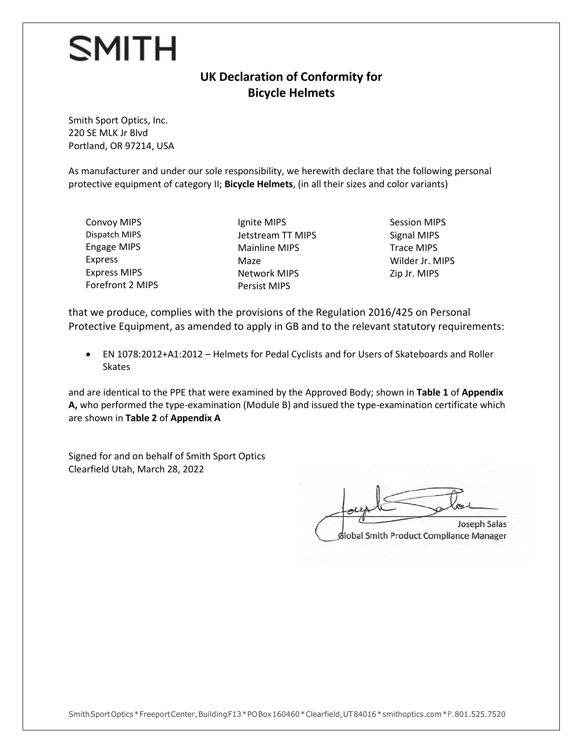## **SMITH**

## **UK Declaration of Conformity for Bicycle Helmets**

Smith Sport Optics, Inc. 220 SE MLK Jr Blvd Portland, OR 97214, USA

As manufacturer and under our sole responsibility, we herewith declare that the following personal protective equipment of category II; **Bicycle Helmets**, (in all their sizes and color variants)

- Convoy MIPS Dispatch MIPS Engage MIPS Express Express MIPS Forefront 2 MIPS
- Ignite MIPS Jetstream TT MIPS Mainline MIPS Maze Network MIPS Persist MIPS
- Session MIPS Signal MIPS Trace MIPS Wilder Jr. MIPS Zip Jr. MIPS

that we produce, complies with the provisions of the Regulation 2016/425 on Personal Protective Equipment, as amended to apply in GB and to the relevant statutory requirements:

• EN 1078:2012+A1:2012 – Helmets for Pedal Cyclists and for Users of Skateboards and Roller **Skates** 

and are identical to the PPE that were examined by the Approved Body; shown in **Table 1** of **Appendix A,** who performed the type-examination (Module B) and issued the type-examination certificate which are shown in **Table 2** of **Appendix A**

Signed for and on behalf of Smith Sport Optics Clearfield Utah, March 28, 2022

Joseph Salas foreste plat Joseph Salas Global Smith Product Compliance Manager